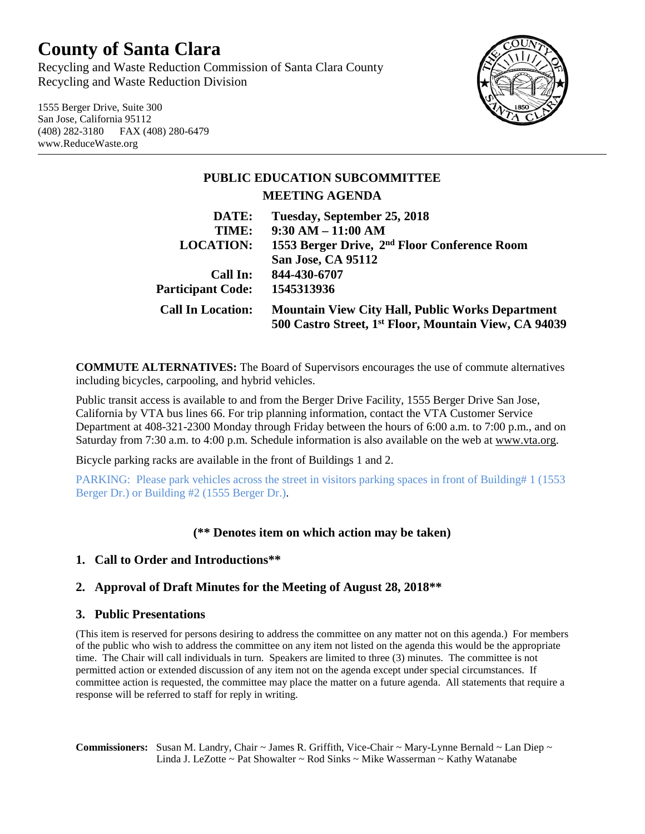# **County of Santa Clara**

Recycling and Waste Reduction Commission of Santa Clara County Recycling and Waste Reduction Division

1555 Berger Drive, Suite 300 San Jose, California 95112 (408) 282-3180 FAX (408) 280-6479 www.ReduceWaste.org



# **PUBLIC EDUCATION SUBCOMMITTEE MEETING AGENDA DATE: Tuesday, September 25, 2018**

| TIME:                    | $9:30 AM - 11:00 AM$                                              |
|--------------------------|-------------------------------------------------------------------|
| <b>LOCATION:</b>         | 1553 Berger Drive, 2 <sup>nd</sup> Floor Conference Room          |
|                          | San Jose, CA 95112                                                |
| Call In:                 | 844-430-6707                                                      |
| <b>Participant Code:</b> | 1545313936                                                        |
| <b>Call In Location:</b> | <b>Mountain View City Hall, Public Works Department</b>           |
|                          | 500 Castro Street, 1 <sup>st</sup> Floor, Mountain View, CA 94039 |

**COMMUTE ALTERNATIVES:** The Board of Supervisors encourages the use of commute alternatives including bicycles, carpooling, and hybrid vehicles.

Public transit access is available to and from the Berger Drive Facility, 1555 Berger Drive San Jose, California by VTA bus lines 66. For trip planning information, contact the VTA Customer Service Department at 408-321-2300 Monday through Friday between the hours of 6:00 a.m. to 7:00 p.m., and on Saturday from 7:30 a.m. to 4:00 p.m. Schedule information is also available on the web at [www.vta.org.](http://www.vta.org/)

Bicycle parking racks are available in the front of Buildings 1 and 2.

PARKING: Please park vehicles across the street in visitors parking spaces in front of Building# 1 (1553 Berger Dr.) or Building #2 (1555 Berger Dr.).

## **(\*\* Denotes item on which action may be taken)**

## **1. Call to Order and Introductions\*\***

## **2. Approval of Draft Minutes for the Meeting of August 28, 2018\*\***

#### **3. Public Presentations**

(This item is reserved for persons desiring to address the committee on any matter not on this agenda.) For members of the public who wish to address the committee on any item not listed on the agenda this would be the appropriate time. The Chair will call individuals in turn. Speakers are limited to three (3) minutes. The committee is not permitted action or extended discussion of any item not on the agenda except under special circumstances. If committee action is requested, the committee may place the matter on a future agenda. All statements that require a response will be referred to staff for reply in writing.

**Commissioners:** Susan M. Landry, Chair ~ James R. Griffith, Vice-Chair ~ Mary-Lynne Bernald ~ Lan Diep ~ Linda J. LeZotte ~ Pat Showalter ~ Rod Sinks ~ Mike Wasserman ~ Kathy Watanabe